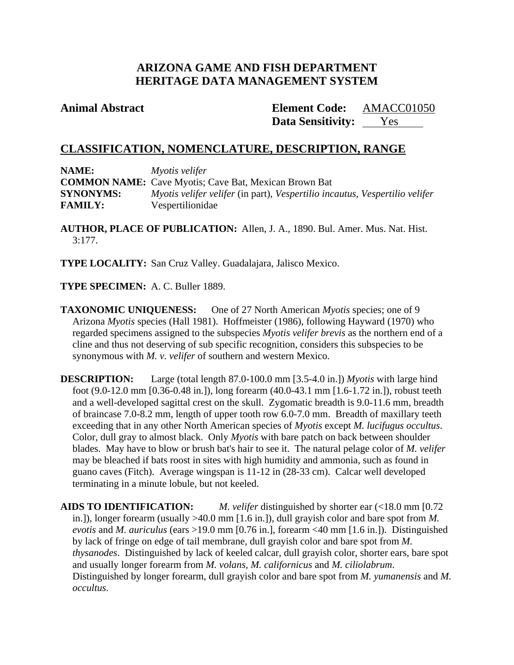# **ARIZONA GAME AND FISH DEPARTMENT HERITAGE DATA MANAGEMENT SYSTEM**

**Animal Abstract Element Code:** AMACC01050 **Data Sensitivity:** Yes

# **CLASSIFICATION, NOMENCLATURE, DESCRIPTION, RANGE**

| NAME:            | Myotis velifer                                                              |
|------------------|-----------------------------------------------------------------------------|
|                  | <b>COMMON NAME:</b> Cave Myotis; Cave Bat, Mexican Brown Bat                |
| <b>SYNONYMS:</b> | Myotis velifer velifer (in part), Vespertilio incautus, Vespertilio velifer |
| <b>FAMILY:</b>   | Vespertilionidae                                                            |

**AUTHOR, PLACE OF PUBLICATION:** Allen, J. A., 1890. Bul. Amer. Mus. Nat. Hist. 3:177.

**TYPE LOCALITY:** San Cruz Valley. Guadalajara, Jalisco Mexico.

**TYPE SPECIMEN:** A. C. Buller 1889.

**TAXONOMIC UNIQUENESS:** One of 27 North American *Myotis* species; one of 9 Arizona *Myotis* species (Hall 1981). Hoffmeister (1986), following Hayward (1970) who regarded specimens assigned to the subspecies *Myotis velifer brevis* as the northern end of a cline and thus not deserving of sub specific recognition, considers this subspecies to be synonymous with *M. v. velifer* of southern and western Mexico.

**DESCRIPTION:** Large (total length 87.0-100.0 mm [3.5-4.0 in.]) *Myotis* with large hind foot (9.0-12.0 mm [0.36-0.48 in.]), long forearm (40.0-43.1 mm [1.6-1.72 in.]), robust teeth and a well-developed sagittal crest on the skull. Zygomatic breadth is 9.0-11.6 mm, breadth of braincase 7.0-8.2 mm, length of upper tooth row 6.0-7.0 mm. Breadth of maxillary teeth exceeding that in any other North American species of *Myotis* except *M. lucifugus occultus*. Color, dull gray to almost black. Only *Myotis* with bare patch on back between shoulder blades. May have to blow or brush bat's hair to see it. The natural pelage color of *M. velifer*  may be bleached if bats roost in sites with high humidity and ammonia, such as found in guano caves (Fitch). Average wingspan is 11-12 in (28-33 cm). Calcar well developed terminating in a minute lobule, but not keeled.

**AIDS TO IDENTIFICATION:** *M. velifer* distinguished by shorter ear (<18.0 mm [0.72 in.]), longer forearm (usually >40.0 mm [1.6 in.]), dull grayish color and bare spot from *M. evotis* and *M. auriculus* (ears >19.0 mm [0.76 in.], forearm <40 mm [1.6 in.]). Distinguished by lack of fringe on edge of tail membrane, dull grayish color and bare spot from *M. thysanodes*. Distinguished by lack of keeled calcar, dull grayish color, shorter ears, bare spot and usually longer forearm from *M. volans, M. californicus* and *M. ciliolabrum*. Distinguished by longer forearm, dull grayish color and bare spot from *M. yumanensis* and *M. occultus*.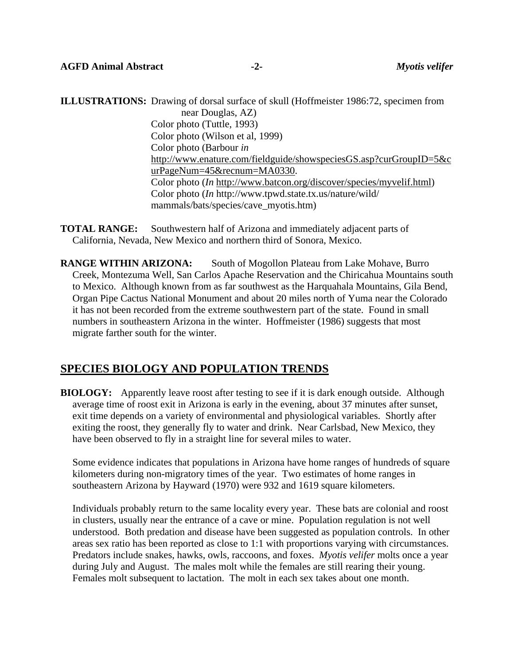**ILLUSTRATIONS:** Drawing of dorsal surface of skull (Hoffmeister 1986:72, specimen from near Douglas, AZ) Color photo (Tuttle, 1993) Color photo (Wilson et al, 1999) Color photo (Barbour *in*  [http://www.enature.com/fieldguide/showspeciesGS.asp?curGroupID=5&c](http://www.enature.com/fieldguide/showspeciesGS.asp?curGroupID=5&curPageNum=45&recnum=MA0330) [urPageNum=45&recnum=MA0330](http://www.enature.com/fieldguide/showspeciesGS.asp?curGroupID=5&curPageNum=45&recnum=MA0330). Color photo (*In* [http://www.batcon.org/discover/species/myvelif.html\)](http://www.batcon.org/discover/species/myvelif.html) Color photo (*In* http://www.tpwd.state.tx.us/nature/wild/ mammals/bats/species/cave\_myotis.htm)

**TOTAL RANGE:** Southwestern half of Arizona and immediately adjacent parts of California, Nevada, New Mexico and northern third of Sonora, Mexico.

**RANGE WITHIN ARIZONA:** South of Mogollon Plateau from Lake Mohave, Burro Creek, Montezuma Well, San Carlos Apache Reservation and the Chiricahua Mountains south to Mexico. Although known from as far southwest as the Harquahala Mountains, Gila Bend, Organ Pipe Cactus National Monument and about 20 miles north of Yuma near the Colorado it has not been recorded from the extreme southwestern part of the state. Found in small numbers in southeastern Arizona in the winter. Hoffmeister (1986) suggests that most migrate farther south for the winter.

## **SPECIES BIOLOGY AND POPULATION TRENDS**

**BIOLOGY:** Apparently leave roost after testing to see if it is dark enough outside. Although average time of roost exit in Arizona is early in the evening, about 37 minutes after sunset, exit time depends on a variety of environmental and physiological variables. Shortly after exiting the roost, they generally fly to water and drink. Near Carlsbad, New Mexico, they have been observed to fly in a straight line for several miles to water.

Some evidence indicates that populations in Arizona have home ranges of hundreds of square kilometers during non-migratory times of the year. Two estimates of home ranges in southeastern Arizona by Hayward (1970) were 932 and 1619 square kilometers.

Individuals probably return to the same locality every year. These bats are colonial and roost in clusters, usually near the entrance of a cave or mine. Population regulation is not well understood. Both predation and disease have been suggested as population controls. In other areas sex ratio has been reported as close to 1:1 with proportions varying with circumstances. Predators include snakes, hawks, owls, raccoons, and foxes. *Myotis velifer* molts once a year during July and August. The males molt while the females are still rearing their young. Females molt subsequent to lactation. The molt in each sex takes about one month.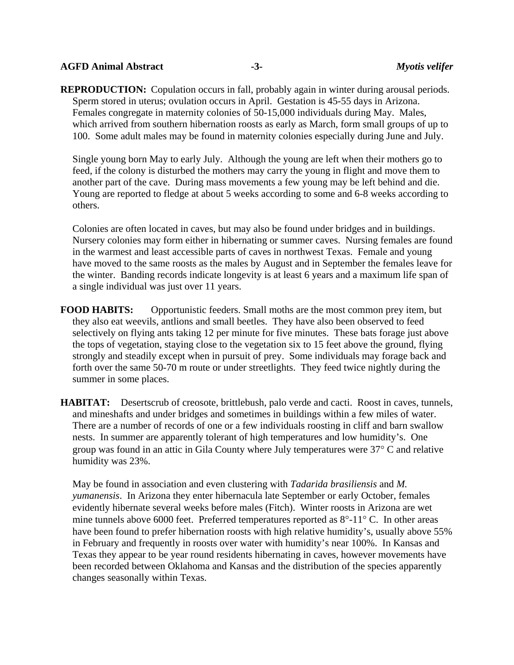## **AGFD Animal Abstract -3-** *Myotis velifer*

**REPRODUCTION:** Copulation occurs in fall, probably again in winter during arousal periods. Sperm stored in uterus; ovulation occurs in April. Gestation is 45-55 days in Arizona. Females congregate in maternity colonies of 50-15,000 individuals during May. Males, which arrived from southern hibernation roosts as early as March, form small groups of up to 100. Some adult males may be found in maternity colonies especially during June and July.

Single young born May to early July. Although the young are left when their mothers go to feed, if the colony is disturbed the mothers may carry the young in flight and move them to another part of the cave. During mass movements a few young may be left behind and die. Young are reported to fledge at about 5 weeks according to some and 6-8 weeks according to others.

Colonies are often located in caves, but may also be found under bridges and in buildings. Nursery colonies may form either in hibernating or summer caves. Nursing females are found in the warmest and least accessible parts of caves in northwest Texas. Female and young have moved to the same roosts as the males by August and in September the females leave for the winter. Banding records indicate longevity is at least 6 years and a maximum life span of a single individual was just over 11 years.

**FOOD HABITS:** Opportunistic feeders. Small moths are the most common prey item, but they also eat weevils, antlions and small beetles. They have also been observed to feed selectively on flying ants taking 12 per minute for five minutes. These bats forage just above the tops of vegetation, staying close to the vegetation six to 15 feet above the ground, flying strongly and steadily except when in pursuit of prey. Some individuals may forage back and forth over the same 50-70 m route or under streetlights. They feed twice nightly during the summer in some places.

**HABITAT:** Desertscrub of creosote, brittlebush, palo verde and cacti. Roost in caves, tunnels, and mineshafts and under bridges and sometimes in buildings within a few miles of water. There are a number of records of one or a few individuals roosting in cliff and barn swallow nests. In summer are apparently tolerant of high temperatures and low humidity's. One group was found in an attic in Gila County where July temperatures were 37° C and relative humidity was 23%.

May be found in association and even clustering with *Tadarida brasiliensis* and *M. yumanensis*. In Arizona they enter hibernacula late September or early October, females evidently hibernate several weeks before males (Fitch). Winter roosts in Arizona are wet mine tunnels above 6000 feet. Preferred temperatures reported as  $8^{\circ}$ -11° C. In other areas have been found to prefer hibernation roosts with high relative humidity's, usually above 55% in February and frequently in roosts over water with humidity's near 100%. In Kansas and Texas they appear to be year round residents hibernating in caves, however movements have been recorded between Oklahoma and Kansas and the distribution of the species apparently changes seasonally within Texas.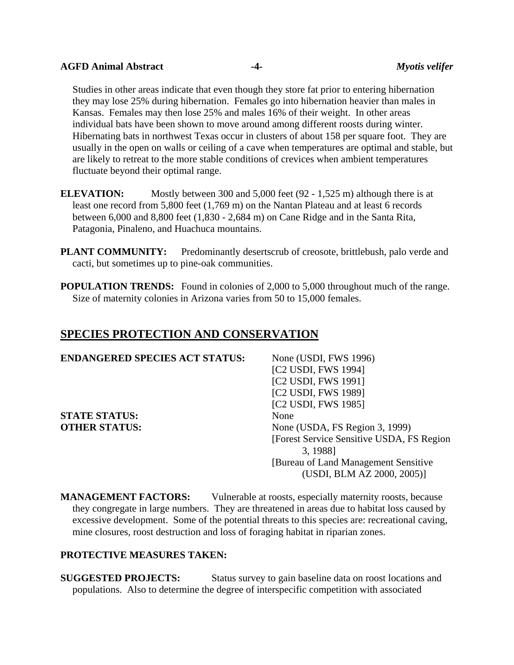#### **AGFD Animal Abstract -4-** *Myotis velifer*

Studies in other areas indicate that even though they store fat prior to entering hibernation they may lose 25% during hibernation. Females go into hibernation heavier than males in Kansas. Females may then lose 25% and males 16% of their weight. In other areas individual bats have been shown to move around among different roosts during winter. Hibernating bats in northwest Texas occur in clusters of about 158 per square foot. They are usually in the open on walls or ceiling of a cave when temperatures are optimal and stable, but are likely to retreat to the more stable conditions of crevices when ambient temperatures fluctuate beyond their optimal range.

**ELEVATION:** Mostly between 300 and 5,000 feet (92 - 1,525 m) although there is at least one record from 5,800 feet (1,769 m) on the Nantan Plateau and at least 6 records between 6,000 and 8,800 feet (1,830 - 2,684 m) on Cane Ridge and in the Santa Rita, Patagonia, Pinaleno, and Huachuca mountains.

**PLANT COMMUNITY:** Predominantly desertscrub of creosote, brittlebush, palo verde and cacti, but sometimes up to pine-oak communities.

**POPULATION TRENDS:** Found in colonies of 2,000 to 5,000 throughout much of the range. Size of maternity colonies in Arizona varies from 50 to 15,000 females.

# **SPECIES PROTECTION AND CONSERVATION**

| <b>ENDANGERED SPECIES ACT STATUS:</b> | None (USDI, FWS 1996)                      |
|---------------------------------------|--------------------------------------------|
|                                       | [C2 USDI, FWS 1994]                        |
|                                       | [C2 USDI, FWS 1991]                        |
|                                       | [C2 USDI, FWS 1989]                        |
|                                       | [C2 USDI, FWS 1985]                        |
| <b>STATE STATUS:</b>                  | None                                       |
| <b>OTHER STATUS:</b>                  | None (USDA, FS Region 3, 1999)             |
|                                       | [Forest Service Sensitive USDA, FS Region] |
|                                       | 3, 1988]                                   |
|                                       | [Bureau of Land Management Sensitive]      |
|                                       | (USDI, BLM AZ 2000, 2005)]                 |

**MANAGEMENT FACTORS:** Vulnerable at roosts, especially maternity roosts, because they congregate in large numbers. They are threatened in areas due to habitat loss caused by excessive development. Some of the potential threats to this species are: recreational caving, mine closures, roost destruction and loss of foraging habitat in riparian zones.

## **PROTECTIVE MEASURES TAKEN:**

**SUGGESTED PROJECTS:** Status survey to gain baseline data on roost locations and populations. Also to determine the degree of interspecific competition with associated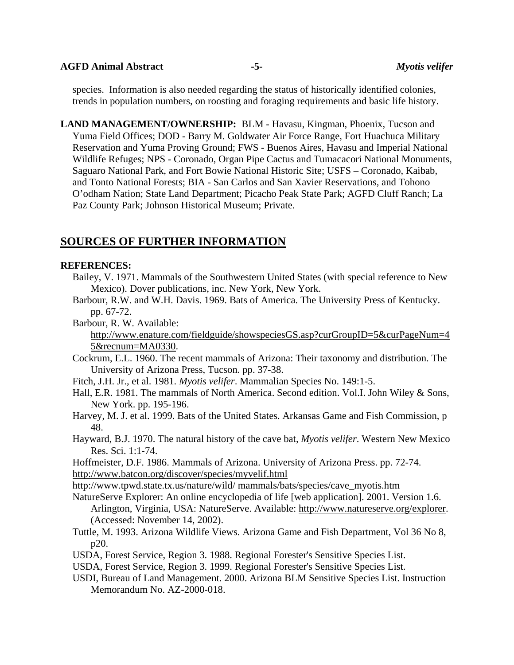**AGFD Animal Abstract -5-** *Myotis velifer* 

species. Information is also needed regarding the status of historically identified colonies, trends in population numbers, on roosting and foraging requirements and basic life history.

**LAND MANAGEMENT/OWNERSHIP:** BLM - Havasu, Kingman, Phoenix, Tucson and Yuma Field Offices; DOD - Barry M. Goldwater Air Force Range, Fort Huachuca Military Reservation and Yuma Proving Ground; FWS - Buenos Aires, Havasu and Imperial National Wildlife Refuges; NPS - Coronado, Organ Pipe Cactus and Tumacacori National Monuments, Saguaro National Park, and Fort Bowie National Historic Site; USFS – Coronado, Kaibab, and Tonto National Forests; BIA - San Carlos and San Xavier Reservations, and Tohono O'odham Nation; State Land Department; Picacho Peak State Park; AGFD Cluff Ranch; La Paz County Park; Johnson Historical Museum; Private.

# **SOURCES OF FURTHER INFORMATION**

## **REFERENCES:**

- Bailey, V. 1971. Mammals of the Southwestern United States (with special reference to New Mexico). Dover publications, inc. New York, New York.
- Barbour, R.W. and W.H. Davis. 1969. Bats of America. The University Press of Kentucky. pp. 67-72.

Barbour, R. W. Available:

[http://www.enature.com/fieldguide/showspeciesGS.asp?curGroupID=5&curPageNum=4](http://www.enature.com/fieldguide/showspeciesGS.asp?curGroupID=5&curPageNum=45&recnum=MA0330) [5&recnum=MA0330](http://www.enature.com/fieldguide/showspeciesGS.asp?curGroupID=5&curPageNum=45&recnum=MA0330).

- Cockrum, E.L. 1960. The recent mammals of Arizona: Their taxonomy and distribution. The University of Arizona Press, Tucson. pp. 37-38.
- Fitch, J.H. Jr., et al. 1981. *Myotis velifer*. Mammalian Species No. 149:1-5.
- Hall, E.R. 1981. The mammals of North America. Second edition. Vol.I. John Wiley & Sons, New York. pp. 195-196.
- Harvey, M. J. et al. 1999. Bats of the United States. Arkansas Game and Fish Commission, p 48.
- Hayward, B.J. 1970. The natural history of the cave bat, *Myotis velifer*. Western New Mexico Res. Sci. 1:1-74.
- Hoffmeister, D.F. 1986. Mammals of Arizona. University of Arizona Press. pp. 72-74.

<http://www.batcon.org/discover/species/myvelif.html>

http://www.tpwd.state.tx.us/nature/wild/ mammals/bats/species/cave\_myotis.htm

NatureServe Explorer: An online encyclopedia of life [web application]. 2001. Version 1.6. Arlington, Virginia, USA: NatureServe. Available: <http://www.natureserve.org/explorer>. (Accessed: November 14, 2002).

- Tuttle, M. 1993. Arizona Wildlife Views. Arizona Game and Fish Department, Vol 36 No 8, p20.
- USDA, Forest Service, Region 3. 1988. Regional Forester's Sensitive Species List.
- USDA, Forest Service, Region 3. 1999. Regional Forester's Sensitive Species List.
- USDI, Bureau of Land Management. 2000. Arizona BLM Sensitive Species List. Instruction Memorandum No. AZ-2000-018.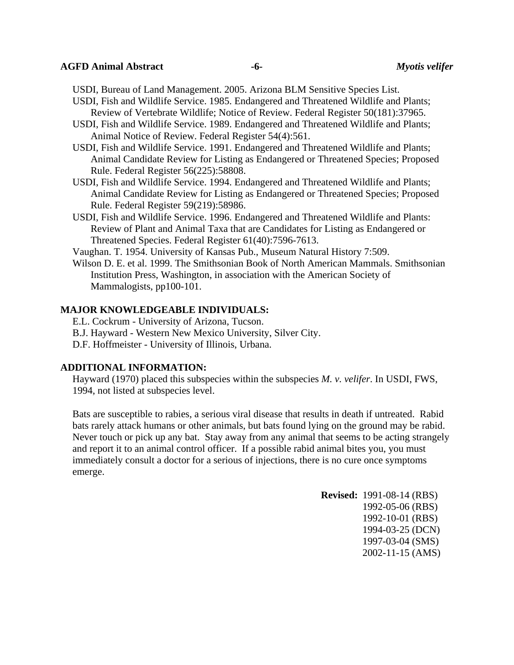## **AGFD Animal Abstract -6-** *Myotis velifer*

USDI, Bureau of Land Management. 2005. Arizona BLM Sensitive Species List.

- USDI, Fish and Wildlife Service. 1985. Endangered and Threatened Wildlife and Plants; Review of Vertebrate Wildlife; Notice of Review. Federal Register 50(181):37965.
- USDI, Fish and Wildlife Service. 1989. Endangered and Threatened Wildlife and Plants; Animal Notice of Review. Federal Register 54(4):561.
- USDI, Fish and Wildlife Service. 1991. Endangered and Threatened Wildlife and Plants; Animal Candidate Review for Listing as Endangered or Threatened Species; Proposed Rule. Federal Register 56(225):58808.
- USDI, Fish and Wildlife Service. 1994. Endangered and Threatened Wildlife and Plants; Animal Candidate Review for Listing as Endangered or Threatened Species; Proposed Rule. Federal Register 59(219):58986.
- USDI, Fish and Wildlife Service. 1996. Endangered and Threatened Wildlife and Plants: Review of Plant and Animal Taxa that are Candidates for Listing as Endangered or Threatened Species. Federal Register 61(40):7596-7613.

Vaughan. T. 1954. University of Kansas Pub., Museum Natural History 7:509.

Wilson D. E. et al. 1999. The Smithsonian Book of North American Mammals. Smithsonian Institution Press, Washington, in association with the American Society of Mammalogists, pp100-101.

## **MAJOR KNOWLEDGEABLE INDIVIDUALS:**

- E.L. Cockrum University of Arizona, Tucson.
- B.J. Hayward Western New Mexico University, Silver City.
- D.F. Hoffmeister University of Illinois, Urbana.

#### **ADDITIONAL INFORMATION:**

Hayward (1970) placed this subspecies within the subspecies *M. v. velifer*. In USDI, FWS, 1994, not listed at subspecies level.

Bats are susceptible to rabies, a serious viral disease that results in death if untreated. Rabid bats rarely attack humans or other animals, but bats found lying on the ground may be rabid. Never touch or pick up any bat. Stay away from any animal that seems to be acting strangely and report it to an animal control officer. If a possible rabid animal bites you, you must immediately consult a doctor for a serious of injections, there is no cure once symptoms emerge.

> **Revised:** 1991-08-14 (RBS) 1992-05-06 (RBS) 1992-10-01 (RBS) 1994-03-25 (DCN) 1997-03-04 (SMS) 2002-11-15 (AMS)